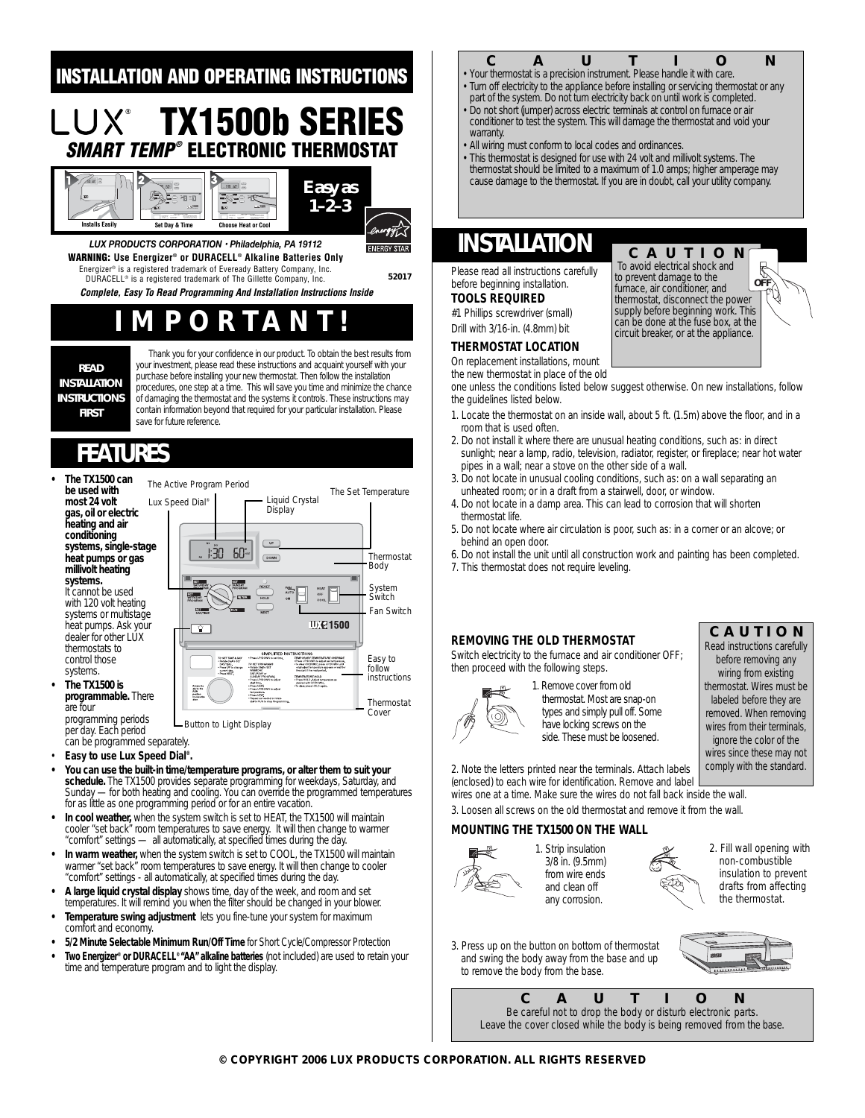### **INSTALLATION AND OPERATING INSTRUCTIONS**

# **TX1500b SERIES SMART TEMP® ELECTRONIC THERMOSTAT**



*Easy as 1–2–3* ergy[[

**ENERGY STAR** 

*LUX PRODUCTS CORPORATION • Philadelphia, PA 19112* **WARNING: Use Energizer® or DURACELL® Alkaline Batteries Only** Energizer® is a registered trademark of Eveready Battery Company, Inc.

DURACELL® is a registered trademark of The Gillette Company, Inc. **52017**

**Complete, Easy To Read Programming And Installation Instructions Inside**

# **IMPORTANT!**

**READ INSTALLATION INSTRUCTIONS FIRST**

Thank you for your confidence in our product. To obtain the best results from your investment, please read these instructions and acquaint yourself with your purchase before installing your new thermostat. Then follow the installation procedures, one step at a time. This will save you time and minimize the chance of damaging the thermostat and the systems it controls. These instructions may contain information beyond that required for your particular installation. Please save for future reference.

# **FEATURES**

**• The TX1500 can be used with most 24 volt gas, oil or electric heating and air conditioning systems, single-stage heat pumps or gas millivolt heating systems.** It cannot be used with 120 volt heating systems or multistage heat pumps. Ask your dealer for other LUX thermostats to control those systems. **• The TX1500 is**  The Active Program Period



programming periods per day. Each period Button to Light Display

can be programmed separately.

are four

- **Easy to use Lux Speed Dial®.**
- **You can use the built-in time/temperature programs, or alter them to suit your schedule.** The TX1500 provides separate programming for weekdays, Saturday, and Sunday — for both heating and cooling. You can override the programmed temperatures for as little as one programming period or for an entire vacation.
- **In cool weather,** when the system switch is set to HEAT, the TX1500 will maintain cooler "set back" room temperatures to save energy. It will then change to warmer "comfort" settings — all automatically, at specified times during the day.
- **In warm weather,** when the system switch is set to COOL, the TX1500 will maintain warmer "set back" room temperatures to save energy. It will then change to cooler "comfort" settings - all automatically, at specified times during the day.
- **A large liquid crystal display** shows time, day of the week, and room and set temperatures. It will remind you when the filter should be changed in your blower.
- **Temperature swing adjustment** lets you fine-tune your system for maximum comfort and economy.
- **5/2 Minute Selectable Minimum Run/Off Time** for Short Cycle/Compressor Protection
- **Two Energizer® or DURACELL® "AA" alkaline batteries** (not included) are used to retain your time and temperature program and to light the display.

## **C A U T I** *Q C N <i>• Your thermostat is a precision instrument. Please handle it with care.*

- 
- *Turn off electricity to the appliance before installing or servicing thermostat or any* part of the system. Do not turn electricity back on until work is completed.
- *Do not short (jumper) across electric terminals at control on furnace or air conditioner to test the system. This will damage the thermostat and void your warranty.*
- *All wiring must conform to local codes and ordinances.*
- *This thermostat is designed for use with 24 volt and millivolt systems. The thermostat should be limited to a maximum of 1.0 amps; higher amperage may cause damage to the thermostat. If you are in doubt, call your utility company.*

**CAUTION** *To avoid electrical shock and to prevent damage to the furnace, air conditioner, and thermostat, disconnect the power supply before beginning work. This can be done at the fuse box, at the circuit breaker, or at the appliance.*

### **INSTALLATION**

Please read all instructions carefully before beginning installation. **TOOLS REQUIRED**

#1 Phillips screwdriver (small) Drill with 3/16-in. (4.8mm) bit

### **THERMOSTAT LOCATION**

On replacement installations, mount

the new thermostat in place of the old

one unless the conditions listed below suggest otherwise. On new installations, follow the guidelines listed below.

- 1. Locate the thermostat on an inside wall, about 5 ft. (1.5m) above the floor, and in a room that is used often.
- 2. Do not install it where there are unusual heating conditions, such as: in direct sunlight; near a lamp, radio, television, radiator, register, or fireplace; near hot water pipes in a wall; near a stove on the other side of a wall.
- 3. Do not locate in unusual cooling conditions, such as: on a wall separating an unheated room; or in a draft from a stairwell, door, or window.
- 4. Do not locate in a damp area. This can lead to corrosion that will shorten thermostat life.
- 5. Do not locate where air circulation is poor, such as: in a corner or an alcove; or behind an open door.
- 6. Do not install the unit until all construction work and painting has been completed.
- 7. This thermostat does not require leveling.

#### **REMOVING THE OLD THERMOSTAT**

Switch electricity to the furnace and air conditioner OFF; then proceed with the following steps.



1. Remove cover from old thermostat. Most are snap-on types and simply pull off. Some have locking screws on the side. These must be loosened.

**CAUTION**

**O** 

Ç

*Read instructions carefully before removing any wiring from existing thermostat. Wires must be labeled before they are removed. When removing wires from their terminals, ignore the color of the wires since these may not comply with the standard.* 

2. Note the letters printed near the terminals. Attach labels (enclosed) to each wire for identification. Remove and label

wires one at a time. Make sure the wires do not fall back inside the wall. 3. Loosen all screws on the old thermostat and remove it from the wall.

#### **MOUNTING THE TX1500 ON THE WALL**



1. Strip insulation 3/8 in. (9.5mm) from wire ends and clean off any corrosion.



- 2. Fill wall opening with non-combustible insulation to prevent drafts from affecting the thermostat.
- 3. Press up on the button on bottom of thermostat and swing the body away from the base and up to remove the body from the base.



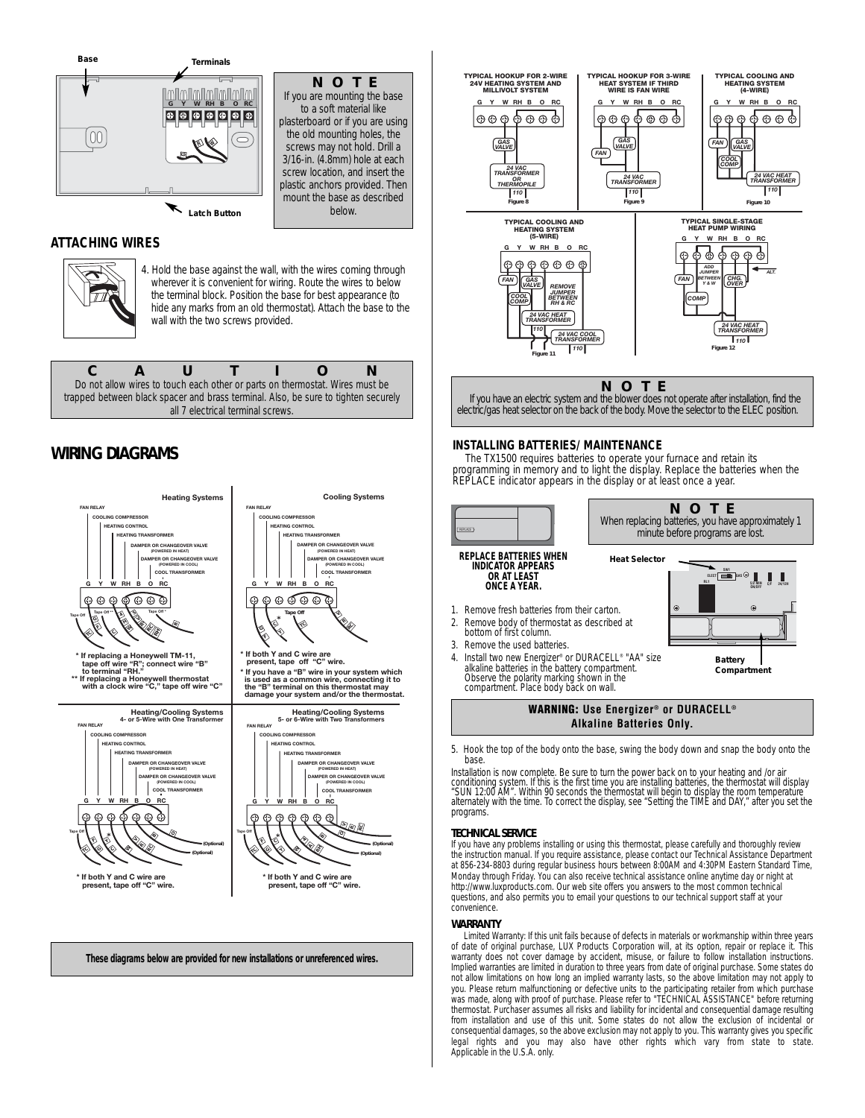

**NOTE** *If you are mounting the base to a soft material like plasterboard or if you are using the old mounting holes, the screws may not hold. Drill a 3/16-in. (4.8mm) hole at each screw location, and insert the plastic anchors provided. Then mount the base as described below.*

#### **ATTACHING WIRES**



4. Hold the base against the wall, with the wires coming through wherever it is convenient for wiring. Route the wires to below the terminal block. Position the base for best appearance (to hide any marks from an old thermostat). Attach the base to the wall with the two screws provided.

**CAUTION** *Do not allow wires to touch each other or parts on thermostat. Wires must be trapped between black spacer and brass terminal. Also, be sure to tighten securely all 7 electrical terminal screws.*

### **WIRING DIAGRAMS**





alkaline batteries in the battery compartment. Observe the polarity marking shown in the compartment. Place body back on wall.



**Compartment**

5. Hook the top of the body onto the base, swing the body down and snap the body onto the base.

Installation is now complete. Be sure to turn the power back on to your heating and /or air<br>conditioning system. If this is the first time you are installing batteries, the thermostat will display<br>"SUN 12:00 AM". Within 90 programs.

#### **TECHNICAL SERVICE**

If you have any problems installing or using this thermostat, please carefully and thoroughly review the instruction manual. If you require assistance, please contact our Technical Assistance Department at 856-234-8803 during regular business hours between 8:00AM and 4:30PM Eastern Standard Time, Monday through Friday. You can also receive technical assistance online anytime day or night at http://www.luxproducts.com. Our web site offers you answers to the most common technical questions, and also permits you to email your questions to our technical support staff at your convenience.

#### **WARRANTY**

Limited Warranty: If this unit fails because of defects in materials or workmanship within three years of date of original purchase, LUX Products Corporation will, at its option, repair or replace it. This warranty does not cover damage by accident, misuse, or failure to follow installation instructions. Implied warranties are limited in duration to three years from date of original purchase. Some states do not allow limitations on how long an implied warranty lasts, so the above limitation may not apply to you. Please return malfunctioning or defective units to the participating retailer from which purchase was made, along with proof of purchase. Please refer to "TECHNICAL ASSISTANCE" before returning thermostat. Purchaser assumes all risks and liability for incidental and consequential damage resulting from installation and use of this unit. Some states do not allow the exclusion of incidental or consequential damages, so the above exclusion may not apply to you. This warranty gives you specific legal rights and you may also have other rights which vary from state to state. Applicable in the U.S.A. only.